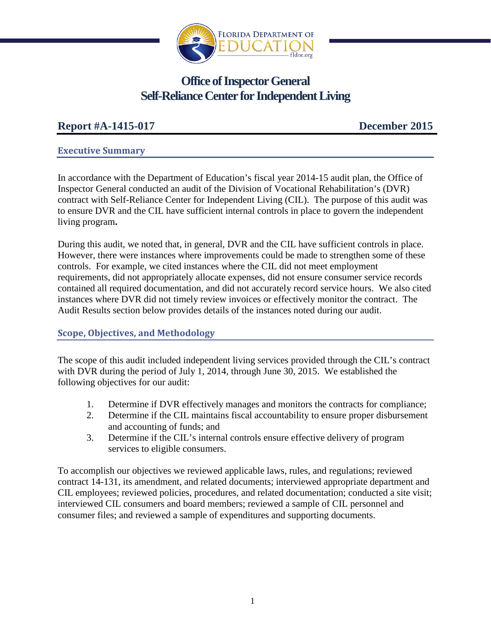

# **Office of Inspector General Self-Reliance Center for Independent Living**

# **Report #A-1415-017 December 2015**

### **Executive Summary**

In accordance with the Department of Education's fiscal year 2014-15 audit plan, the Office of Inspector General conducted an audit of the Division of Vocational Rehabilitation's (DVR) contract with Self-Reliance Center for Independent Living (CIL). The purpose of this audit was to ensure DVR and the CIL have sufficient internal controls in place to govern the independent living program**.**

During this audit, we noted that, in general, DVR and the CIL have sufficient controls in place. However, there were instances where improvements could be made to strengthen some of these controls. For example, we cited instances where the CIL did not meet employment requirements, did not appropriately allocate expenses, did not ensure consumer service records contained all required documentation, and did not accurately record service hours. We also cited instances where DVR did not timely review invoices or effectively monitor the contract. The Audit Results section below provides details of the instances noted during our audit.

# **Scope, Objectives, and Methodology**

The scope of this audit included independent living services provided through the CIL's contract with DVR during the period of July 1, 2014, through June 30, 2015. We established the following objectives for our audit:

- 1. Determine if DVR effectively manages and monitors the contracts for compliance;
- 2. Determine if the CIL maintains fiscal accountability to ensure proper disbursement and accounting of funds; and
- 3. Determine if the CIL's internal controls ensure effective delivery of program services to eligible consumers.

To accomplish our objectives we reviewed applicable laws, rules, and regulations; reviewed contract 14-131, its amendment, and related documents; interviewed appropriate department and CIL employees; reviewed policies, procedures, and related documentation; conducted a site visit; interviewed CIL consumers and board members; reviewed a sample of CIL personnel and consumer files; and reviewed a sample of expenditures and supporting documents.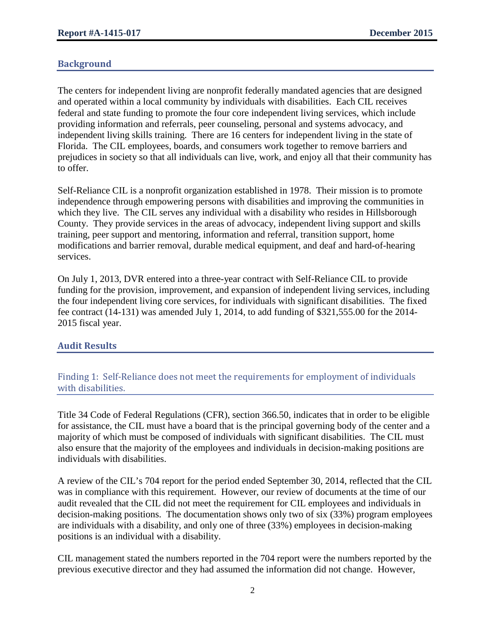# **Background**

The centers for independent living are nonprofit federally mandated agencies that are designed and operated within a local community by individuals with disabilities. Each CIL receives federal and state funding to promote the four core independent living services, which include providing information and referrals, peer counseling, personal and systems advocacy, and independent living skills training. There are 16 centers for independent living in the state of Florida. The CIL employees, boards, and consumers work together to remove barriers and prejudices in society so that all individuals can live, work, and enjoy all that their community has to offer.

Self-Reliance CIL is a nonprofit organization established in 1978. Their mission is to promote independence through empowering persons with disabilities and improving the communities in which they live. The CIL serves any individual with a disability who resides in Hillsborough County. They provide services in the areas of advocacy, independent living support and skills training, peer support and mentoring, information and referral, transition support, home modifications and barrier removal, durable medical equipment, and deaf and hard-of-hearing services.

On July 1, 2013, DVR entered into a three-year contract with Self-Reliance CIL to provide funding for the provision, improvement, and expansion of independent living services, including the four independent living core services, for individuals with significant disabilities. The fixed fee contract (14-131) was amended July 1, 2014, to add funding of \$321,555.00 for the 2014- 2015 fiscal year.

# **Audit Results**

Finding 1: Self-Reliance does not meet the requirements for employment of individuals with disabilities.

Title 34 Code of Federal Regulations (CFR), section 366.50, indicates that in order to be eligible for assistance, the CIL must have a board that is the principal governing body of the center and a majority of which must be composed of individuals with significant disabilities. The CIL must also ensure that the majority of the employees and individuals in decision-making positions are individuals with disabilities.

A review of the CIL's 704 report for the period ended September 30, 2014, reflected that the CIL was in compliance with this requirement. However, our review of documents at the time of our audit revealed that the CIL did not meet the requirement for CIL employees and individuals in decision-making positions. The documentation shows only two of six (33%) program employees are individuals with a disability, and only one of three (33%) employees in decision-making positions is an individual with a disability.

CIL management stated the numbers reported in the 704 report were the numbers reported by the previous executive director and they had assumed the information did not change. However,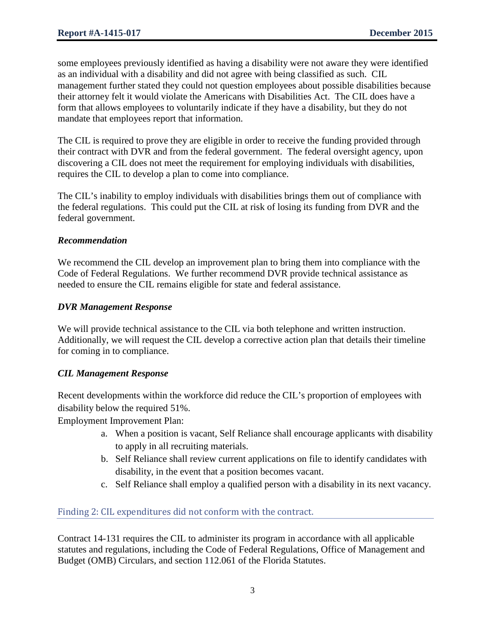some employees previously identified as having a disability were not aware they were identified as an individual with a disability and did not agree with being classified as such. CIL management further stated they could not question employees about possible disabilities because their attorney felt it would violate the Americans with Disabilities Act. The CIL does have a form that allows employees to voluntarily indicate if they have a disability, but they do not mandate that employees report that information.

The CIL is required to prove they are eligible in order to receive the funding provided through their contract with DVR and from the federal government. The federal oversight agency, upon discovering a CIL does not meet the requirement for employing individuals with disabilities, requires the CIL to develop a plan to come into compliance.

The CIL's inability to employ individuals with disabilities brings them out of compliance with the federal regulations. This could put the CIL at risk of losing its funding from DVR and the federal government.

# *Recommendation*

We recommend the CIL develop an improvement plan to bring them into compliance with the Code of Federal Regulations. We further recommend DVR provide technical assistance as needed to ensure the CIL remains eligible for state and federal assistance.

# *DVR Management Response*

We will provide technical assistance to the CIL via both telephone and written instruction. Additionally, we will request the CIL develop a corrective action plan that details their timeline for coming in to compliance.

# *CIL Management Response*

Recent developments within the workforce did reduce the CIL's proportion of employees with disability below the required 51%.

Employment Improvement Plan:

- a. When a position is vacant, Self Reliance shall encourage applicants with disability to apply in all recruiting materials.
- b. Self Reliance shall review current applications on file to identify candidates with disability, in the event that a position becomes vacant.
- c. Self Reliance shall employ a qualified person with a disability in its next vacancy.

# Finding 2: CIL expenditures did not conform with the contract.

Contract 14-131 requires the CIL to administer its program in accordance with all applicable statutes and regulations, including the Code of Federal Regulations, Office of Management and Budget (OMB) Circulars, and section 112.061 of the Florida Statutes.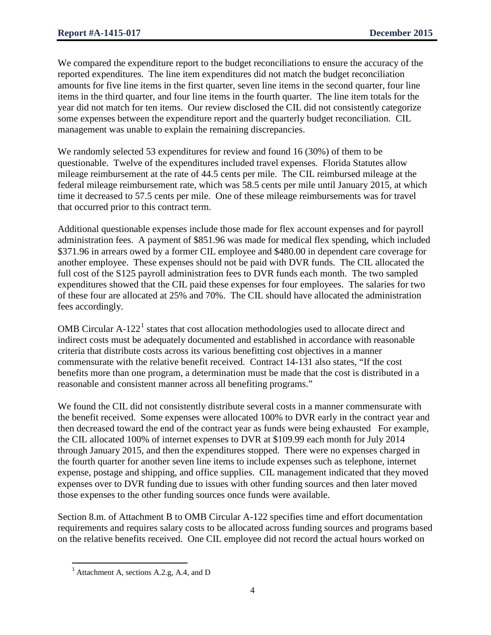We compared the expenditure report to the budget reconciliations to ensure the accuracy of the reported expenditures. The line item expenditures did not match the budget reconciliation amounts for five line items in the first quarter, seven line items in the second quarter, four line items in the third quarter, and four line items in the fourth quarter. The line item totals for the year did not match for ten items. Our review disclosed the CIL did not consistently categorize some expenses between the expenditure report and the quarterly budget reconciliation. CIL management was unable to explain the remaining discrepancies.

We randomly selected 53 expenditures for review and found 16 (30%) of them to be questionable. Twelve of the expenditures included travel expenses. Florida Statutes allow mileage reimbursement at the rate of 44.5 cents per mile. The CIL reimbursed mileage at the federal mileage reimbursement rate, which was 58.5 cents per mile until January 2015, at which time it decreased to 57.5 cents per mile. One of these mileage reimbursements was for travel that occurred prior to this contract term.

Additional questionable expenses include those made for flex account expenses and for payroll administration fees. A payment of \$851.96 was made for medical flex spending, which included \$371.96 in arrears owed by a former CIL employee and \$480.00 in dependent care coverage for another employee. These expenses should not be paid with DVR funds. The CIL allocated the full cost of the S125 payroll administration fees to DVR funds each month. The two sampled expenditures showed that the CIL paid these expenses for four employees. The salaries for two of these four are allocated at 25% and 70%. The CIL should have allocated the administration fees accordingly.

OMB Circular  $A-122<sup>1</sup>$  $A-122<sup>1</sup>$  $A-122<sup>1</sup>$  states that cost allocation methodologies used to allocate direct and indirect costs must be adequately documented and established in accordance with reasonable criteria that distribute costs across its various benefitting cost objectives in a manner commensurate with the relative benefit received. Contract 14-131 also states, "If the cost benefits more than one program, a determination must be made that the cost is distributed in a reasonable and consistent manner across all benefiting programs."

We found the CIL did not consistently distribute several costs in a manner commensurate with the benefit received. Some expenses were allocated 100% to DVR early in the contract year and then decreased toward the end of the contract year as funds were being exhausted For example, the CIL allocated 100% of internet expenses to DVR at \$109.99 each month for July 2014 through January 2015, and then the expenditures stopped. There were no expenses charged in the fourth quarter for another seven line items to include expenses such as telephone, internet expense, postage and shipping, and office supplies. CIL management indicated that they moved expenses over to DVR funding due to issues with other funding sources and then later moved those expenses to the other funding sources once funds were available.

Section 8.m. of Attachment B to OMB Circular A-122 specifies time and effort documentation requirements and requires salary costs to be allocated across funding sources and programs based on the relative benefits received. One CIL employee did not record the actual hours worked on

l

<span id="page-3-0"></span> $<sup>1</sup>$  Attachment A, sections A.2.g, A.4, and D</sup>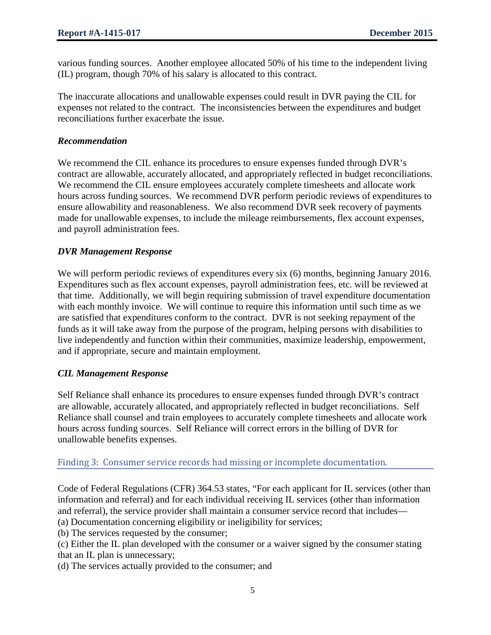various funding sources. Another employee allocated 50% of his time to the independent living (IL) program, though 70% of his salary is allocated to this contract.

The inaccurate allocations and unallowable expenses could result in DVR paying the CIL for expenses not related to the contract. The inconsistencies between the expenditures and budget reconciliations further exacerbate the issue.

### *Recommendation*

We recommend the CIL enhance its procedures to ensure expenses funded through DVR's contract are allowable, accurately allocated, and appropriately reflected in budget reconciliations. We recommend the CIL ensure employees accurately complete timesheets and allocate work hours across funding sources. We recommend DVR perform periodic reviews of expenditures to ensure allowability and reasonableness. We also recommend DVR seek recovery of payments made for unallowable expenses, to include the mileage reimbursements, flex account expenses, and payroll administration fees.

### *DVR Management Response*

We will perform periodic reviews of expenditures every six  $(6)$  months, beginning January 2016. Expenditures such as flex account expenses, payroll administration fees, etc. will be reviewed at that time. Additionally, we will begin requiring submission of travel expenditure documentation with each monthly invoice. We will continue to require this information until such time as we are satisfied that expenditures conform to the contract. DVR is not seeking repayment of the funds as it will take away from the purpose of the program, helping persons with disabilities to live independently and function within their communities, maximize leadership, empowerment, and if appropriate, secure and maintain employment.

# *CIL Management Response*

Self Reliance shall enhance its procedures to ensure expenses funded through DVR's contract are allowable, accurately allocated, and appropriately reflected in budget reconciliations. Self Reliance shall counsel and train employees to accurately complete timesheets and allocate work hours across funding sources. Self Reliance will correct errors in the billing of DVR for unallowable benefits expenses.

# Finding 3: Consumer service records had missing or incomplete documentation.

Code of Federal Regulations (CFR) 364.53 states, "For each applicant for IL services (other than information and referral) and for each individual receiving IL services (other than information and referral), the service provider shall maintain a consumer service record that includes—

(a) Documentation concerning eligibility or ineligibility for services;

(b) The services requested by the consumer;

(c) Either the IL plan developed with the consumer or a waiver signed by the consumer stating that an IL plan is unnecessary;

(d) The services actually provided to the consumer; and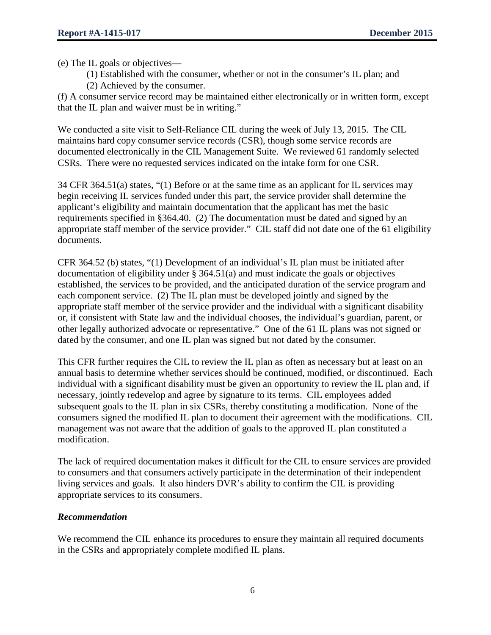(e) The IL goals or objectives—

(1) Established with the consumer, whether or not in the consumer's IL plan; and (2) Achieved by the consumer.

(f) A consumer service record may be maintained either electronically or in written form, except that the IL plan and waiver must be in writing."

We conducted a site visit to Self-Reliance CIL during the week of July 13, 2015. The CIL maintains hard copy consumer service records (CSR), though some service records are documented electronically in the CIL Management Suite. We reviewed 61 randomly selected CSRs. There were no requested services indicated on the intake form for one CSR.

34 CFR 364.51(a) states, "(1) Before or at the same time as an applicant for IL services may begin receiving IL services funded under this part, the service provider shall determine the applicant's eligibility and maintain documentation that the applicant has met the basic requirements specified in §364.40. (2) The documentation must be dated and signed by an appropriate staff member of the service provider." CIL staff did not date one of the 61 eligibility documents.

CFR 364.52 (b) states, "(1) Development of an individual's IL plan must be initiated after documentation of eligibility under § 364.51(a) and must indicate the goals or objectives established, the services to be provided, and the anticipated duration of the service program and each component service. (2) The IL plan must be developed jointly and signed by the appropriate staff member of the service provider and the individual with a significant disability or, if consistent with State law and the individual chooses, the individual's guardian, parent, or other legally authorized advocate or representative." One of the 61 IL plans was not signed or dated by the consumer, and one IL plan was signed but not dated by the consumer.

This CFR further requires the CIL to review the IL plan as often as necessary but at least on an annual basis to determine whether services should be continued, modified, or discontinued. Each individual with a significant disability must be given an opportunity to review the IL plan and, if necessary, jointly redevelop and agree by signature to its terms. CIL employees added subsequent goals to the IL plan in six CSRs, thereby constituting a modification. None of the consumers signed the modified IL plan to document their agreement with the modifications. CIL management was not aware that the addition of goals to the approved IL plan constituted a modification.

The lack of required documentation makes it difficult for the CIL to ensure services are provided to consumers and that consumers actively participate in the determination of their independent living services and goals. It also hinders DVR's ability to confirm the CIL is providing appropriate services to its consumers.

# *Recommendation*

We recommend the CIL enhance its procedures to ensure they maintain all required documents in the CSRs and appropriately complete modified IL plans.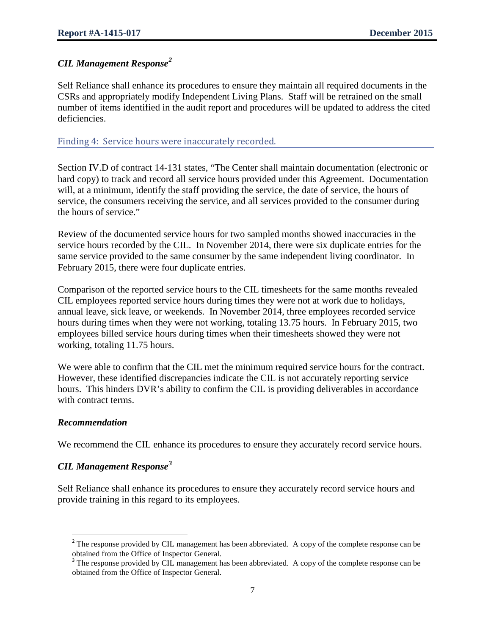# *CIL Management Response[2](#page-6-0)*

Self Reliance shall enhance its procedures to ensure they maintain all required documents in the CSRs and appropriately modify Independent Living Plans. Staff will be retrained on the small number of items identified in the audit report and procedures will be updated to address the cited deficiencies.

### Finding 4: Service hours were inaccurately recorded.

Section IV.D of contract 14-131 states, "The Center shall maintain documentation (electronic or hard copy) to track and record all service hours provided under this Agreement. Documentation will, at a minimum, identify the staff providing the service, the date of service, the hours of service, the consumers receiving the service, and all services provided to the consumer during the hours of service."

Review of the documented service hours for two sampled months showed inaccuracies in the service hours recorded by the CIL. In November 2014, there were six duplicate entries for the same service provided to the same consumer by the same independent living coordinator. In February 2015, there were four duplicate entries.

Comparison of the reported service hours to the CIL timesheets for the same months revealed CIL employees reported service hours during times they were not at work due to holidays, annual leave, sick leave, or weekends. In November 2014, three employees recorded service hours during times when they were not working, totaling 13.75 hours. In February 2015, two employees billed service hours during times when their timesheets showed they were not working, totaling 11.75 hours.

We were able to confirm that the CIL met the minimum required service hours for the contract. However, these identified discrepancies indicate the CIL is not accurately reporting service hours. This hinders DVR's ability to confirm the CIL is providing deliverables in accordance with contract terms.

#### *Recommendation*

l

We recommend the CIL enhance its procedures to ensure they accurately record service hours.

# *CIL Management Response[3](#page-6-1)*

Self Reliance shall enhance its procedures to ensure they accurately record service hours and provide training in this regard to its employees.

<span id="page-6-0"></span> $2^2$  The response provided by CIL management has been abbreviated. A copy of the complete response can be obtained from the Office of Inspector General.

<span id="page-6-1"></span><sup>&</sup>lt;sup>3</sup> The response provided by CIL management has been abbreviated. A copy of the complete response can be obtained from the Office of Inspector General.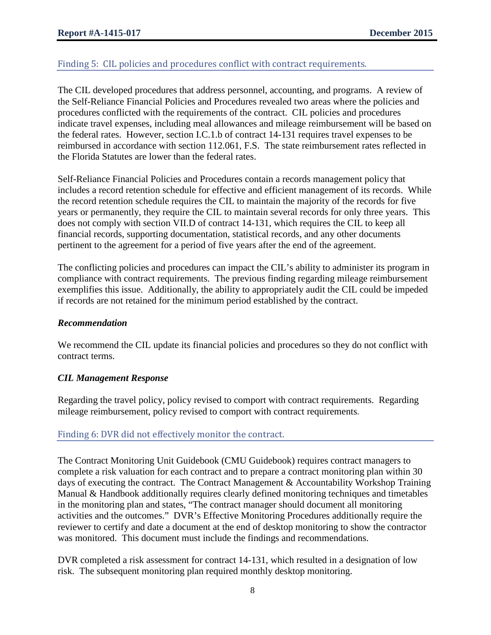# Finding 5: CIL policies and procedures conflict with contract requirements.

The CIL developed procedures that address personnel, accounting, and programs. A review of the Self-Reliance Financial Policies and Procedures revealed two areas where the policies and procedures conflicted with the requirements of the contract. CIL policies and procedures indicate travel expenses, including meal allowances and mileage reimbursement will be based on the federal rates. However, section I.C.1.b of contract 14-131 requires travel expenses to be reimbursed in accordance with section 112.061, F.S. The state reimbursement rates reflected in the Florida Statutes are lower than the federal rates.

Self-Reliance Financial Policies and Procedures contain a records management policy that includes a record retention schedule for effective and efficient management of its records. While the record retention schedule requires the CIL to maintain the majority of the records for five years or permanently, they require the CIL to maintain several records for only three years. This does not comply with section VII.D of contract 14-131, which requires the CIL to keep all financial records, supporting documentation, statistical records, and any other documents pertinent to the agreement for a period of five years after the end of the agreement.

The conflicting policies and procedures can impact the CIL's ability to administer its program in compliance with contract requirements. The previous finding regarding mileage reimbursement exemplifies this issue. Additionally, the ability to appropriately audit the CIL could be impeded if records are not retained for the minimum period established by the contract.

#### *Recommendation*

We recommend the CIL update its financial policies and procedures so they do not conflict with contract terms.

# *CIL Management Response*

Regarding the travel policy, policy revised to comport with contract requirements. Regarding mileage reimbursement, policy revised to comport with contract requirements.

# Finding 6: DVR did not effectively monitor the contract.

The Contract Monitoring Unit Guidebook (CMU Guidebook) requires contract managers to complete a risk valuation for each contract and to prepare a contract monitoring plan within 30 days of executing the contract. The Contract Management & Accountability Workshop Training Manual & Handbook additionally requires clearly defined monitoring techniques and timetables in the monitoring plan and states, "The contract manager should document all monitoring activities and the outcomes." DVR's Effective Monitoring Procedures additionally require the reviewer to certify and date a document at the end of desktop monitoring to show the contractor was monitored. This document must include the findings and recommendations.

DVR completed a risk assessment for contract 14-131, which resulted in a designation of low risk. The subsequent monitoring plan required monthly desktop monitoring.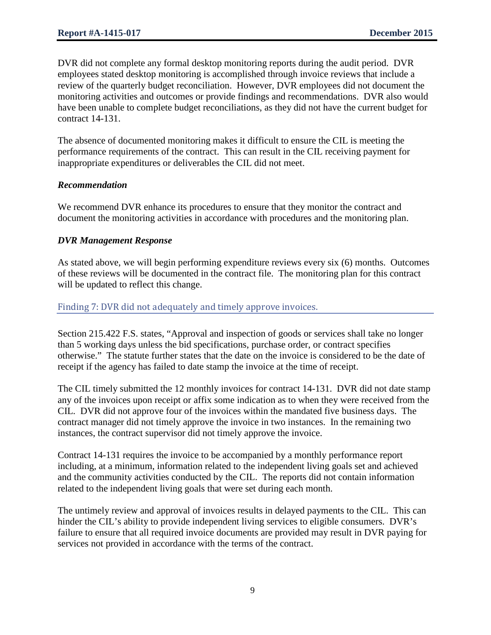DVR did not complete any formal desktop monitoring reports during the audit period. DVR employees stated desktop monitoring is accomplished through invoice reviews that include a review of the quarterly budget reconciliation. However, DVR employees did not document the monitoring activities and outcomes or provide findings and recommendations. DVR also would have been unable to complete budget reconciliations, as they did not have the current budget for contract 14-131.

The absence of documented monitoring makes it difficult to ensure the CIL is meeting the performance requirements of the contract. This can result in the CIL receiving payment for inappropriate expenditures or deliverables the CIL did not meet.

# *Recommendation*

We recommend DVR enhance its procedures to ensure that they monitor the contract and document the monitoring activities in accordance with procedures and the monitoring plan.

### *DVR Management Response*

As stated above, we will begin performing expenditure reviews every six (6) months. Outcomes of these reviews will be documented in the contract file. The monitoring plan for this contract will be updated to reflect this change.

### Finding 7: DVR did not adequately and timely approve invoices.

Section 215.422 F.S. states, "Approval and inspection of goods or services shall take no longer than 5 working days unless the bid specifications, purchase order, or contract specifies otherwise." The statute further states that the date on the invoice is considered to be the date of receipt if the agency has failed to date stamp the invoice at the time of receipt.

The CIL timely submitted the 12 monthly invoices for contract 14-131. DVR did not date stamp any of the invoices upon receipt or affix some indication as to when they were received from the CIL. DVR did not approve four of the invoices within the mandated five business days. The contract manager did not timely approve the invoice in two instances. In the remaining two instances, the contract supervisor did not timely approve the invoice.

Contract 14-131 requires the invoice to be accompanied by a monthly performance report including, at a minimum, information related to the independent living goals set and achieved and the community activities conducted by the CIL. The reports did not contain information related to the independent living goals that were set during each month.

The untimely review and approval of invoices results in delayed payments to the CIL. This can hinder the CIL's ability to provide independent living services to eligible consumers. DVR's failure to ensure that all required invoice documents are provided may result in DVR paying for services not provided in accordance with the terms of the contract.